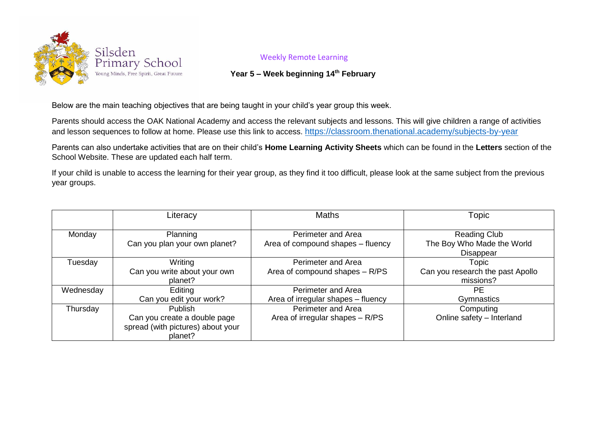

## Weekly Remote Learning

## **Year 5 – Week beginning 14th February**

Below are the main teaching objectives that are being taught in your child's year group this week.

Parents should access the OAK National Academy and access the relevant subjects and lessons. This will give children a range of activities and lesson sequences to follow at home. Please use this link to access. <https://classroom.thenational.academy/subjects-by-year>

Parents can also undertake activities that are on their child's **Home Learning Activity Sheets** which can be found in the **Letters** section of the School Website. These are updated each half term.

If your child is unable to access the learning for their year group, as they find it too difficult, please look at the same subject from the previous year groups.

|           | Literacy                                                                                       | <b>Maths</b>                                                    | Topic                                                          |
|-----------|------------------------------------------------------------------------------------------------|-----------------------------------------------------------------|----------------------------------------------------------------|
| Monday    | Planning<br>Can you plan your own planet?                                                      | <b>Perimeter and Area</b><br>Area of compound shapes – fluency  | <b>Reading Club</b><br>The Boy Who Made the World<br>Disappear |
| Tuesday   | Writing<br>Can you write about your own<br>planet?                                             | <b>Perimeter and Area</b><br>Area of compound shapes - R/PS     | Topic<br>Can you research the past Apollo<br>missions?         |
| Wednesday | Editing<br>Can you edit your work?                                                             | <b>Perimeter and Area</b><br>Area of irregular shapes - fluency | РF<br>Gymnastics                                               |
| Thursday  | <b>Publish</b><br>Can you create a double page<br>spread (with pictures) about your<br>planet? | Perimeter and Area<br>Area of irregular shapes $- R/PS$         | Computing<br>Online safety - Interland                         |